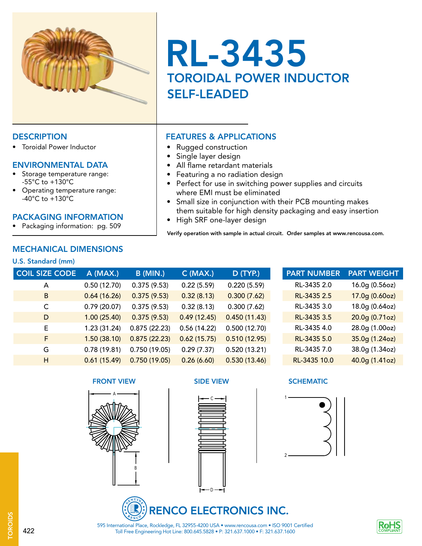

# RL-3435 TOROIDAL POWER INDUCTOR SELF-LEADED

• Perfect for use in switching power supplies and circuits

• Small size in conjunction with their PCB mounting makes them suitable for high density packaging and easy insertion

Verify operation with sample in actual circuit. Order samples at www.rencousa.com.

### DESCRIPTION **FEATURES & APPLICATIONS**

• Toroidal Power Inductor

### ENVIRONMENTAL DATA

- Storage temperature range: -55°C to +130°C
- Operating temperature range: -40°C to +130°C

### PACKAGING INFORMATION

• Packaging information: pg. 509

### MECHANICAL DIMENSIONS

### U.S. Standard (mm)

| <b>COIL SIZE CODE</b> | A (MAX.)    | <b>B</b> (MIN.) | $C$ (MAX.)  | D (TYP.)     |
|-----------------------|-------------|-----------------|-------------|--------------|
| A                     | 0.50(12.70) | 0.375(9.53)     | 0.22(5.59)  | 0.220(5.59)  |
| B                     | 0.64(16.26) | 0.375(9.53)     | 0.32(8.13)  | 0.300(7.62)  |
| C                     | 0.79(20.07) | 0.375(9.53)     | 0.32(8.13)  | 0.300(7.62)  |
| D                     | 1.00(25.40) | 0.375(9.53)     | 0.49(12.45) | 0.450(11.43) |
| E                     | 1.23(31.24) | 0.875(22.23)    | 0.56(14.22) | 0.500(12.70) |
| F                     | 1.50(38.10) | 0.875(22.23)    | 0.62(15.75) | 0.510(12.95) |
| G                     | 0.78(19.81) | 0.750(19.05)    | 0.29(7.37)  | 0.520(13.21) |
| н                     | 0.61(15.49) | 0.750(19.05)    | 0.26(6.60)  | 0.530(13.46) |
|                       |             |                 |             |              |

• Rugged construction • Single layer design

• All flame retardant materials • Featuring a no radiation design

• High SRF one-layer design

where EMI must be eliminated

### **FRONT VIEW SIDE VIEW SIDE VIEW SCHEMATIC**









Toll Free Engineering Hot Line: 800.645.5828 • P: 321.637.1000 • F: 321.637.1600 595 International Place, Rockledge, FL 32955-4200 USA • www.rencousa.com • ISO 9001 Certified



422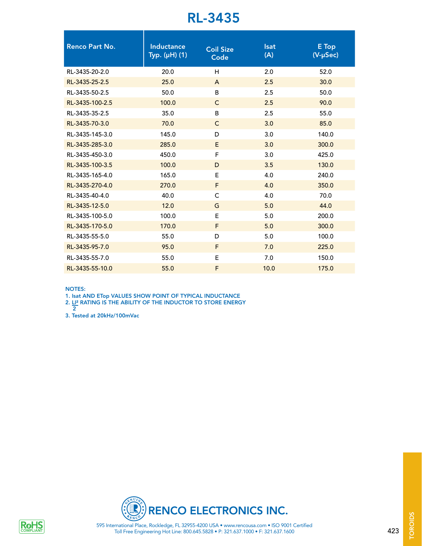## RL-3435

| <b>Renco Part No.</b> | <b>Inductance</b><br>Typ. (µH) (1) | <b>Coil Size</b><br>Code | <b>Isat</b><br>(A) | E Top<br>(V-µSec) |
|-----------------------|------------------------------------|--------------------------|--------------------|-------------------|
| RL-3435-20-2.0        | 20.0                               | H                        | 2.0                | 52.0              |
| RL-3435-25-2.5        | 25.0                               | $\mathsf{A}$             | 2.5                | 30.0              |
| RL-3435-50-2.5        | 50.0                               | B                        | 2.5                | 50.0              |
| RL-3435-100-2.5       | 100.0                              | $\mathsf{C}$             | 2.5                | 90.0              |
| RL-3435-35-2.5        | 35.0                               | B                        | 2.5                | 55.0              |
| RL-3435-70-3.0        | 70.0                               | $\mathsf{C}$             | 3.0                | 85.0              |
| RL-3435-145-3.0       | 145.0                              | D                        | 3.0                | 140.0             |
| RL-3435-285-3.0       | 285.0                              | E.                       | 3.0                | 300.0             |
| RL-3435-450-3.0       | 450.0                              | F                        | 3.0                | 425.0             |
| RL-3435-100-3.5       | 100.0                              | D                        | 3.5                | 130.0             |
| RL-3435-165-4.0       | 165.0                              | E                        | 4.0                | 240.0             |
| RL-3435-270-4.0       | 270.0                              | F                        | 4.0                | 350.0             |
| RL-3435-40-4.0        | 40.0                               | $\mathsf{C}$             | 4.0                | 70.0              |
| RL-3435-12-5.0        | 12.0                               | G                        | 5.0                | 44.0              |
| RL-3435-100-5.0       | 100.0                              | E.                       | 5.0                | 200.0             |
| RL-3435-170-5.0       | 170.0                              | F                        | 5.0                | 300.0             |
| RL-3435-55-5.0        | 55.0                               | D                        | 5.0                | 100.0             |
| RL-3435-95-7.0        | 95.0                               | F                        | 7.0                | 225.0             |
| RL-3435-55-7.0        | 55.0                               | Е                        | 7.0                | 150.0             |
| RL-3435-55-10.0       | 55.0                               | F                        | 10.0               | 175.0             |
|                       |                                    |                          |                    |                   |

NOTES:

1. Isat AND ETop VALUES SHOW POINT OF TYPICAL INDUCTANCE

2. LI² RATING IS THE ABILITY OF THE INDUCTOR TO STORE ENERGY

3. Tested at 20kHz/100mVac 2



Toll Free Engineering Hot Line: 800.645.5828 • P: 321.637.1000 • F: 321.637.1600



423